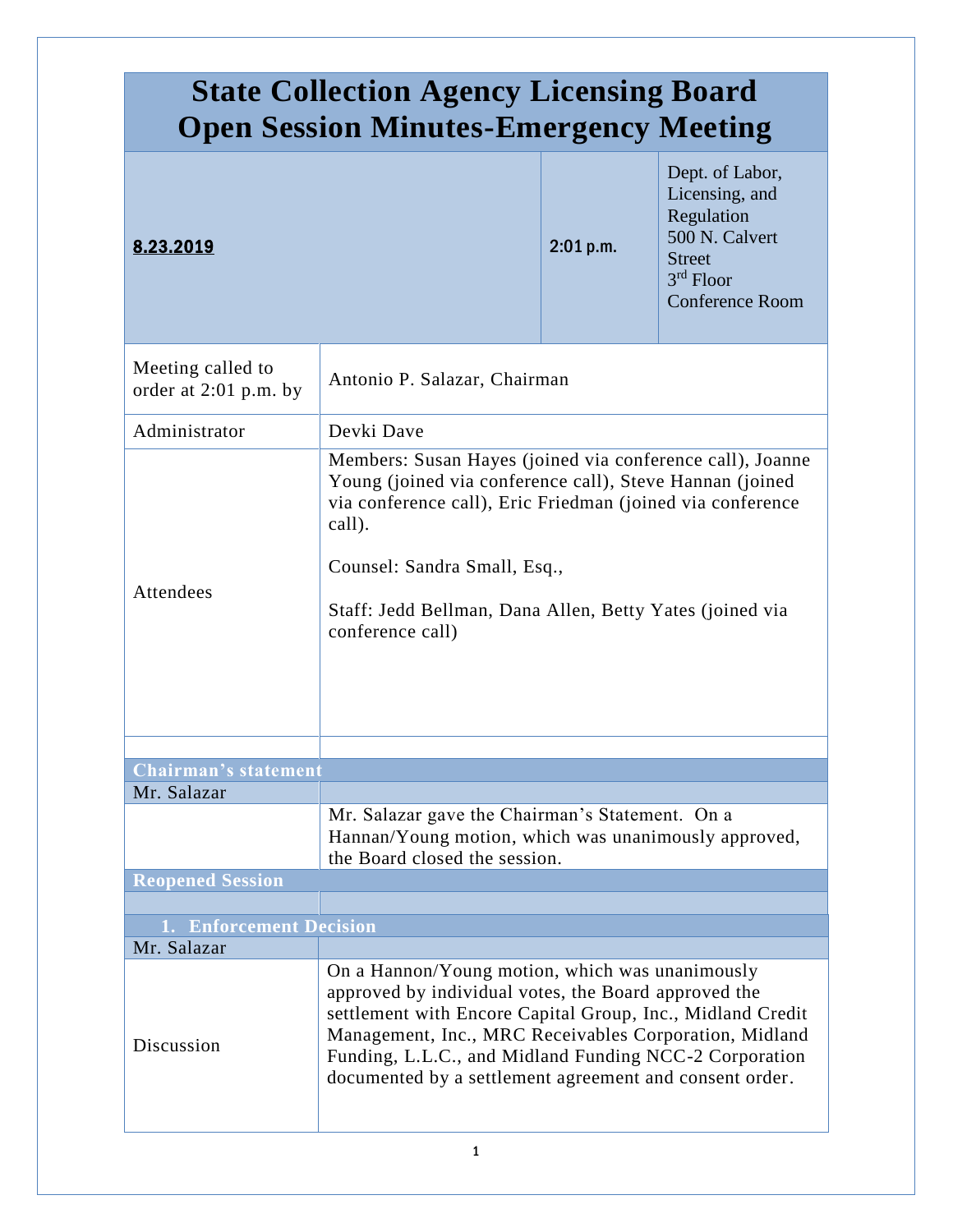| <b>State Collection Agency Licensing Board</b><br><b>Open Session Minutes-Emergency Meeting</b> |                                                                                                                                                                                                                                                                                                                                                      |           |                                                                                                                             |
|-------------------------------------------------------------------------------------------------|------------------------------------------------------------------------------------------------------------------------------------------------------------------------------------------------------------------------------------------------------------------------------------------------------------------------------------------------------|-----------|-----------------------------------------------------------------------------------------------------------------------------|
| 8.23.2019                                                                                       |                                                                                                                                                                                                                                                                                                                                                      | 2:01 p.m. | Dept. of Labor,<br>Licensing, and<br>Regulation<br>500 N. Calvert<br><b>Street</b><br>$3rd$ Floor<br><b>Conference Room</b> |
| Meeting called to<br>order at $2:01$ p.m. by                                                    | Antonio P. Salazar, Chairman                                                                                                                                                                                                                                                                                                                         |           |                                                                                                                             |
| Administrator                                                                                   | Devki Dave                                                                                                                                                                                                                                                                                                                                           |           |                                                                                                                             |
| Attendees                                                                                       | Members: Susan Hayes (joined via conference call), Joanne<br>Young (joined via conference call), Steve Hannan (joined<br>via conference call), Eric Friedman (joined via conference<br>call).<br>Counsel: Sandra Small, Esq.,<br>Staff: Jedd Bellman, Dana Allen, Betty Yates (joined via<br>conference call)                                        |           |                                                                                                                             |
| <b>Chairman's statement</b>                                                                     |                                                                                                                                                                                                                                                                                                                                                      |           |                                                                                                                             |
| Mr. Salazar                                                                                     |                                                                                                                                                                                                                                                                                                                                                      |           |                                                                                                                             |
|                                                                                                 | Mr. Salazar gave the Chairman's Statement. On a<br>Hannan/Young motion, which was unanimously approved,<br>the Board closed the session.                                                                                                                                                                                                             |           |                                                                                                                             |
| <b>Reopened Session</b>                                                                         |                                                                                                                                                                                                                                                                                                                                                      |           |                                                                                                                             |
|                                                                                                 |                                                                                                                                                                                                                                                                                                                                                      |           |                                                                                                                             |
| 1. Enforcement Decision<br>Mr. Salazar                                                          |                                                                                                                                                                                                                                                                                                                                                      |           |                                                                                                                             |
| Discussion                                                                                      | On a Hannon/Young motion, which was unanimously<br>approved by individual votes, the Board approved the<br>settlement with Encore Capital Group, Inc., Midland Credit<br>Management, Inc., MRC Receivables Corporation, Midland<br>Funding, L.L.C., and Midland Funding NCC-2 Corporation<br>documented by a settlement agreement and consent order. |           |                                                                                                                             |